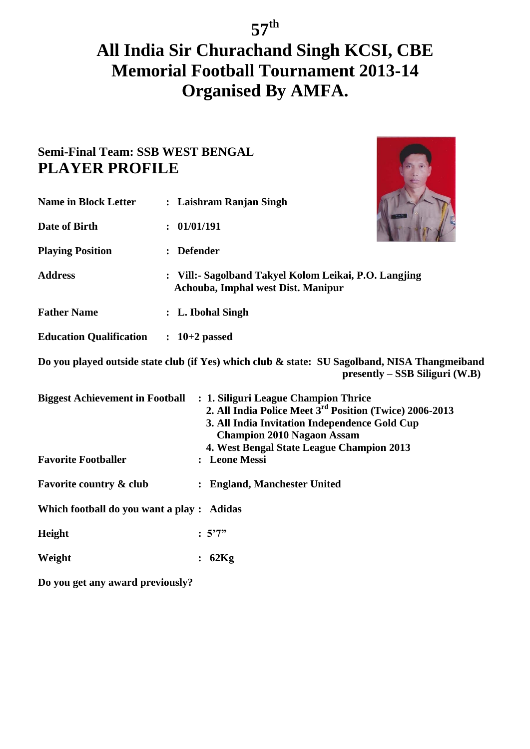## **All India Sir Churachand Singh KCSI, CBE Memorial Football Tournament 2013-14 Organised By AMFA.**

### **Semi-Final Team: SSB WEST BENGAL PLAYER PROFILE**

| <b>Name in Block Letter</b>               | : Laishram Ranjan Singh                                                                                                                                                                                                                                            |
|-------------------------------------------|--------------------------------------------------------------------------------------------------------------------------------------------------------------------------------------------------------------------------------------------------------------------|
| Date of Birth                             | 01/01/191<br>$\ddot{\cdot}$                                                                                                                                                                                                                                        |
| <b>Playing Position</b>                   | <b>Defender</b>                                                                                                                                                                                                                                                    |
| <b>Address</b>                            | : Vill:- Sagolband Takyel Kolom Leikai, P.O. Langjing<br>Achouba, Imphal west Dist. Manipur                                                                                                                                                                        |
| <b>Father Name</b>                        | : L. Ibohal Singh                                                                                                                                                                                                                                                  |
| Education Qualification : 10+2 passed     |                                                                                                                                                                                                                                                                    |
|                                           | Do you played outside state club (if Yes) which club & state: SU Sagolband, NISA Thangmeiband<br>$presently - SSB Siliguri (W.B)$                                                                                                                                  |
|                                           | Biggest Achievement in Football : 1. Siliguri League Champion Thrice<br>2. All India Police Meet 3rd Position (Twice) 2006-2013<br>3. All India Invitation Independence Gold Cup<br><b>Champion 2010 Nagaon Assam</b><br>4. West Bengal State League Champion 2013 |
| <b>Favorite Footballer</b>                | : Leone Messi                                                                                                                                                                                                                                                      |
| <b>Favorite country &amp; club</b>        | <b>England, Manchester United</b><br>$\ddot{\cdot}$                                                                                                                                                                                                                |
| Which football do you want a play: Adidas |                                                                                                                                                                                                                                                                    |
| Height                                    | : 5'7''                                                                                                                                                                                                                                                            |
| Weight                                    | 62Kg                                                                                                                                                                                                                                                               |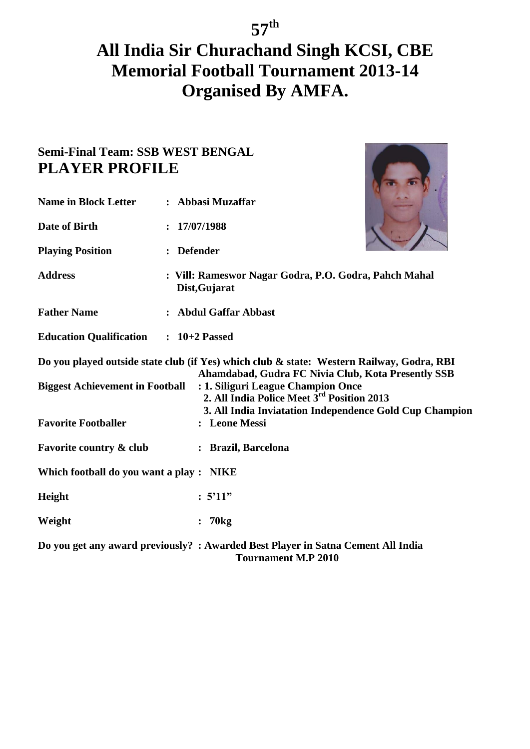## **All India Sir Churachand Singh KCSI, CBE Memorial Football Tournament 2013-14 Organised By AMFA.**

O

| <b>Name in Block Letter</b>                  | : Abbasi Muzaffar                                                                                                                                                                                                                                                                                          |  |
|----------------------------------------------|------------------------------------------------------------------------------------------------------------------------------------------------------------------------------------------------------------------------------------------------------------------------------------------------------------|--|
| Date of Birth                                | 17/07/1988                                                                                                                                                                                                                                                                                                 |  |
| <b>Playing Position</b>                      | : Defender                                                                                                                                                                                                                                                                                                 |  |
| <b>Address</b>                               | : Vill: Rameswor Nagar Godra, P.O. Godra, Pahch Mahal<br>Dist, Gujarat                                                                                                                                                                                                                                     |  |
| <b>Father Name</b>                           | : Abdul Gaffar Abbast                                                                                                                                                                                                                                                                                      |  |
| <b>Education Qualification : 10+2 Passed</b> |                                                                                                                                                                                                                                                                                                            |  |
| <b>Biggest Achievement in Football</b>       | Do you played outside state club (if Yes) which club & state: Western Railway, Godra, RBI<br>Ahamdabad, Gudra FC Nivia Club, Kota Presently SSB<br>: 1. Siliguri League Champion Once<br>2. All India Police Meet 3 <sup>rd</sup> Position 2013<br>3. All India Inviatation Independence Gold Cup Champion |  |
| <b>Favorite Footballer</b>                   | : Leone Messi                                                                                                                                                                                                                                                                                              |  |
| <b>Favorite country &amp; club</b>           | : Brazil, Barcelona                                                                                                                                                                                                                                                                                        |  |
| Which football do you want a play: NIKE      |                                                                                                                                                                                                                                                                                                            |  |
| Height                                       | : 5'11"                                                                                                                                                                                                                                                                                                    |  |
| Weight                                       | : 70kg                                                                                                                                                                                                                                                                                                     |  |
|                                              | Do you get any award previously? : Awarded Best Player in Satna Cement All India<br><b>Tournament M.P 2010</b>                                                                                                                                                                                             |  |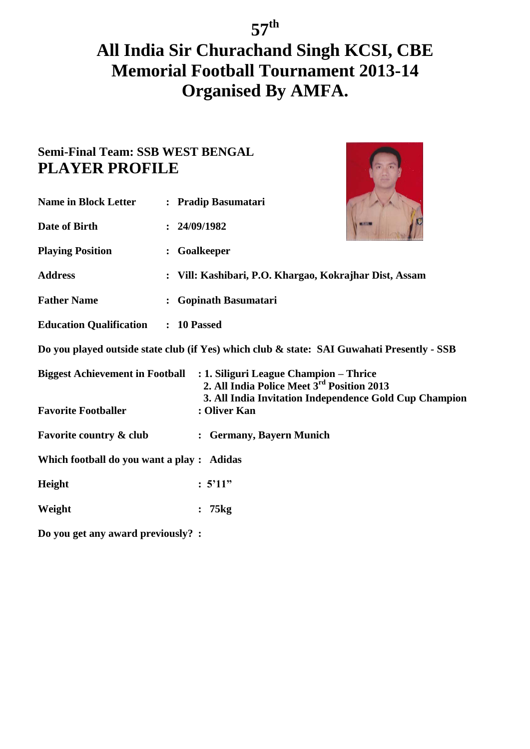### **Semi-Final Team: SSB WEST BENGAL PLAYER PROFILE**

| <b>Name in Block Letter</b>                | : Pradip Basumatari                                                                                                  |                                                                                            |
|--------------------------------------------|----------------------------------------------------------------------------------------------------------------------|--------------------------------------------------------------------------------------------|
| Date of Birth                              | : 24/09/1982                                                                                                         |                                                                                            |
| <b>Playing Position</b>                    | : Goalkeeper                                                                                                         |                                                                                            |
| <b>Address</b>                             | : Vill: Kashibari, P.O. Khargao, Kokrajhar Dist, Assam                                                               |                                                                                            |
| <b>Father Name</b>                         | <b>Gopinath Basumatari</b>                                                                                           |                                                                                            |
| <b>Education Qualification : 10 Passed</b> |                                                                                                                      |                                                                                            |
|                                            |                                                                                                                      | Do you played outside state club (if Yes) which club & state: SAI Guwahati Presently - SSB |
|                                            | Biggest Achievement in Football : 1. Siliguri League Champion - Thrice<br>2. All India Police Meet 3rd Position 2013 | 3. All India Invitation Independence Gold Cup Champion                                     |
| <b>Favorite Footballer</b>                 | : Oliver Kan                                                                                                         |                                                                                            |
| <b>Favorite country &amp; club</b>         | : Germany, Bayern Munich                                                                                             |                                                                                            |
| Which football do you want a play: Adidas  |                                                                                                                      |                                                                                            |
| Height                                     | : 5'11"                                                                                                              |                                                                                            |
| Weight                                     | 75kg                                                                                                                 |                                                                                            |
|                                            |                                                                                                                      |                                                                                            |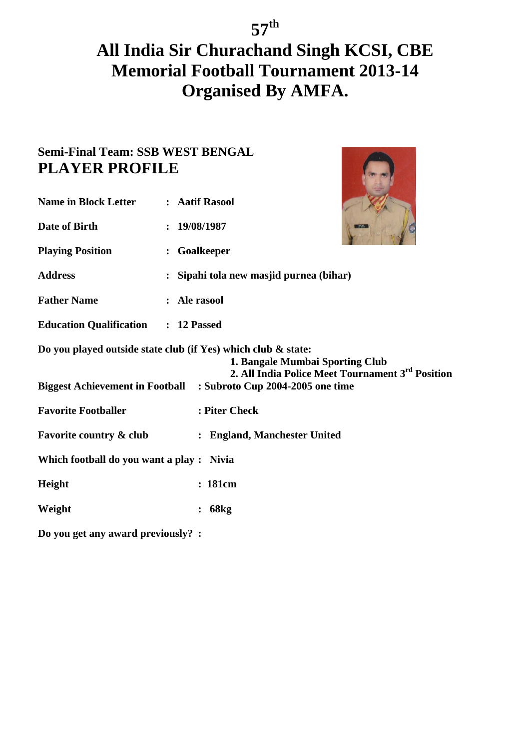| <b>Name in Block Letter</b>                | : Aatif Rasool                                                                                                                                                                                                           |
|--------------------------------------------|--------------------------------------------------------------------------------------------------------------------------------------------------------------------------------------------------------------------------|
| Date of Birth                              | 19/08/1987<br>$\ddot{\phantom{a}}$                                                                                                                                                                                       |
| <b>Playing Position</b>                    | Goalkeeper<br>$\ddot{\cdot}$                                                                                                                                                                                             |
| <b>Address</b>                             | Sipahi tola new masjid purnea (bihar)                                                                                                                                                                                    |
| <b>Father Name</b>                         | : Ale rasool                                                                                                                                                                                                             |
| <b>Education Qualification : 12 Passed</b> |                                                                                                                                                                                                                          |
|                                            | Do you played outside state club (if Yes) which club & state:<br>1. Bangale Mumbai Sporting Club<br>2. All India Police Meet Tournament 3rd Position<br>Biggest Achievement in Football : Subroto Cup 2004-2005 one time |
| <b>Favorite Footballer</b>                 | : Piter Check                                                                                                                                                                                                            |
| <b>Favorite country &amp; club</b>         | : England, Manchester United                                                                                                                                                                                             |
| Which football do you want a play: Nivia   |                                                                                                                                                                                                                          |
| Height                                     | : 181cm                                                                                                                                                                                                                  |
| Weight                                     | 68kg<br>$\ddot{\cdot}$                                                                                                                                                                                                   |
| Do you get any award previously? :         |                                                                                                                                                                                                                          |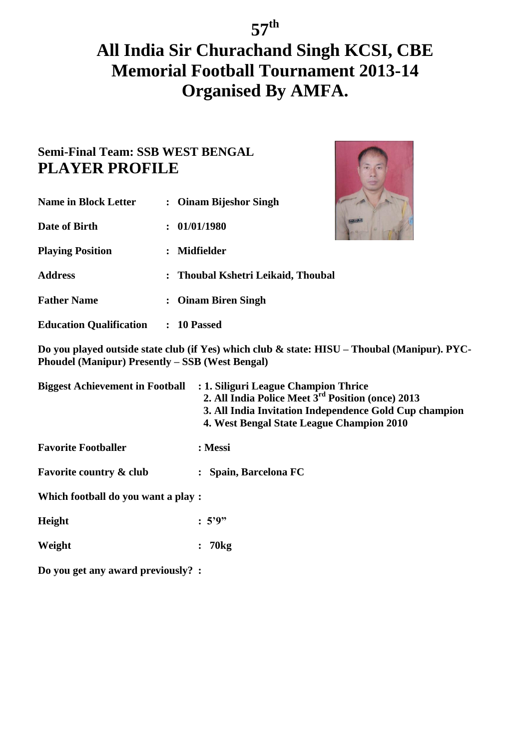### **Semi-Final Team: SSB WEST BENGAL PLAYER PROFILE**

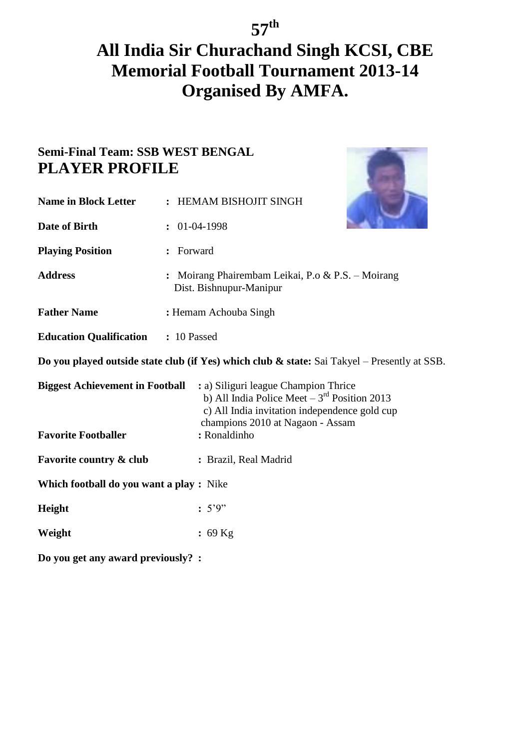## **All India Sir Churachand Singh KCSI, CBE Memorial Football Tournament 2013-14 Organised By AMFA.**

| <b>Name in Block Letter</b>                                                                  |         | : HEMAM BISHOJIT SINGH                                                                                                                                                        |  |
|----------------------------------------------------------------------------------------------|---------|-------------------------------------------------------------------------------------------------------------------------------------------------------------------------------|--|
| Date of Birth                                                                                |         | $: 01-04-1998$                                                                                                                                                                |  |
| <b>Playing Position</b>                                                                      | Forward |                                                                                                                                                                               |  |
| <b>Address</b>                                                                               |         | Moirang Phairembam Leikai, P.o & P.S. - Moirang<br>Dist. Bishnupur-Manipur                                                                                                    |  |
| <b>Father Name</b>                                                                           |         | : Hemam Achouba Singh                                                                                                                                                         |  |
| <b>Education Qualification : 10 Passed</b>                                                   |         |                                                                                                                                                                               |  |
| Do you played outside state club (if Yes) which club & state: Sai Takyel – Presently at SSB. |         |                                                                                                                                                                               |  |
| <b>Biggest Achievement in Football</b>                                                       |         | : a) Siliguri league Champion Thrice<br>b) All India Police Meet $-3^{rd}$ Position 2013<br>c) All India invitation independence gold cup<br>champions 2010 at Nagaon - Assam |  |
| <b>Favorite Footballer</b>                                                                   |         | : Ronaldinho                                                                                                                                                                  |  |
| <b>Favorite country &amp; club</b>                                                           |         | : Brazil, Real Madrid                                                                                                                                                         |  |
| Which football do you want a play: Nike                                                      |         |                                                                                                                                                                               |  |
| Height                                                                                       |         | : 5'9"                                                                                                                                                                        |  |
| Weight                                                                                       |         | $: 69$ Kg                                                                                                                                                                     |  |
| Do you get any award previously? :                                                           |         |                                                                                                                                                                               |  |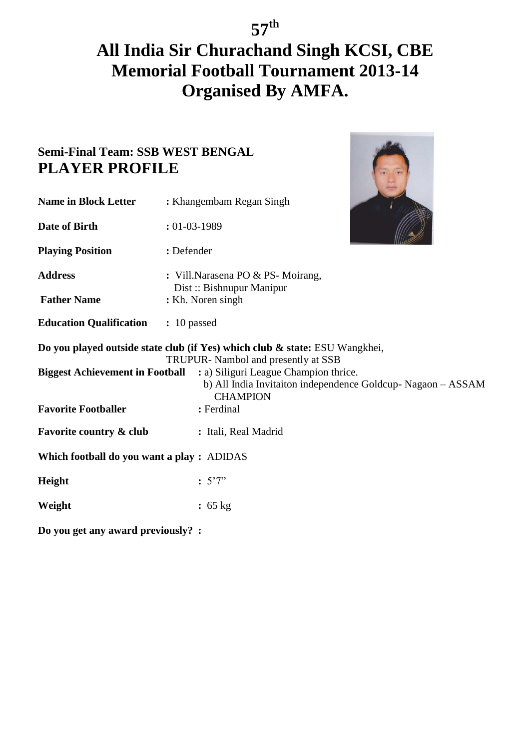# **All India Sir Churachand Singh KCSI, CBE Memorial Football Tournament 2013-14 Organised By AMFA.**

### **Semi-Final Team: SSB WEST BENGAL PLAYER PROFILE**

| <b>Name in Block Letter</b>                | : Khangembam Regan Singh                                                                                                                                                                                                                                                             |  |
|--------------------------------------------|--------------------------------------------------------------------------------------------------------------------------------------------------------------------------------------------------------------------------------------------------------------------------------------|--|
| Date of Birth                              | $: 01 - 03 - 1989$                                                                                                                                                                                                                                                                   |  |
| <b>Playing Position</b>                    | : Defender                                                                                                                                                                                                                                                                           |  |
| <b>Address</b>                             | : Vill.Narasena PO & PS-Moirang,                                                                                                                                                                                                                                                     |  |
| <b>Father Name</b>                         | Dist: Bishnupur Manipur<br>: Kh. Noren singh                                                                                                                                                                                                                                         |  |
| <b>Education Qualification : 10 passed</b> |                                                                                                                                                                                                                                                                                      |  |
|                                            | Do you played outside state club (if Yes) which club & state: ESU Wangkhei,<br>TRUPUR- Nambol and presently at SSB<br><b>Biggest Achievement in Football : a) Siliguri League Champion thrice.</b><br>b) All India Invitaiton independence Goldcup-Nagaon - ASSAM<br><b>CHAMPION</b> |  |
| <b>Favorite Footballer</b>                 | : Ferdinal                                                                                                                                                                                                                                                                           |  |
| <b>Favorite country &amp; club</b>         | : Itali, Real Madrid                                                                                                                                                                                                                                                                 |  |
| Which football do you want a play: ADIDAS  |                                                                                                                                                                                                                                                                                      |  |
| Height                                     | : 5'7''                                                                                                                                                                                                                                                                              |  |
| Weight                                     | : 65 kg                                                                                                                                                                                                                                                                              |  |
|                                            |                                                                                                                                                                                                                                                                                      |  |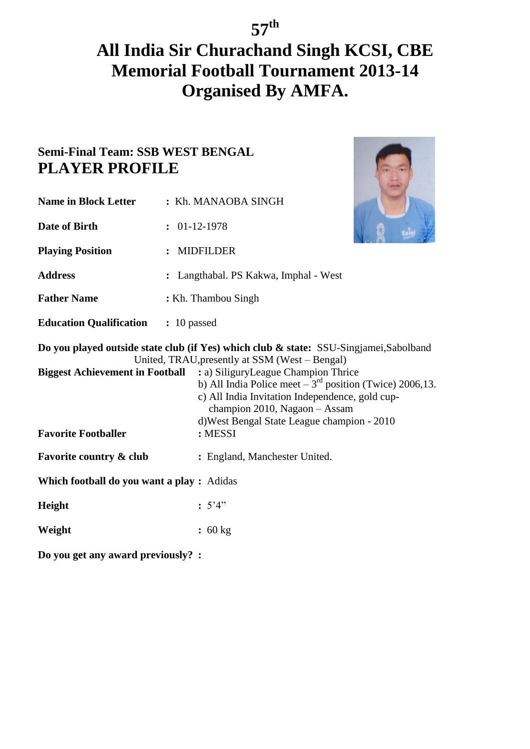## **All India Sir Churachand Singh KCSI, CBE Memorial Football Tournament 2013-14 Organised By AMFA.**

| <b>Name in Block Letter</b>                | : Kh. MANAOBA SINGH                                                                                                                                                                                                                                                                                                                                                                |
|--------------------------------------------|------------------------------------------------------------------------------------------------------------------------------------------------------------------------------------------------------------------------------------------------------------------------------------------------------------------------------------------------------------------------------------|
| Date of Birth                              | $: 01-12-1978$                                                                                                                                                                                                                                                                                                                                                                     |
| <b>Playing Position</b>                    | : MIDFILDER                                                                                                                                                                                                                                                                                                                                                                        |
| <b>Address</b>                             | : Langthabal. PS Kakwa, Imphal - West                                                                                                                                                                                                                                                                                                                                              |
| <b>Father Name</b>                         | : Kh. Thambou Singh                                                                                                                                                                                                                                                                                                                                                                |
| <b>Education Qualification : 10 passed</b> |                                                                                                                                                                                                                                                                                                                                                                                    |
| <b>Biggest Achievement in Football</b>     | Do you played outside state club (if Yes) which club & state: SSU-Singjamei, Sabolband<br>United, TRAU, presently at SSM (West – Bengal)<br>: a) SiliguryLeague Champion Thrice<br>b) All India Police meet $-3^{rd}$ position (Twice) 2006,13.<br>c) All India Invitation Independence, gold cup-<br>champion 2010, Nagaon - Assam<br>d) West Bengal State League champion - 2010 |
| <b>Favorite Footballer</b>                 | : MESSI                                                                                                                                                                                                                                                                                                                                                                            |
| <b>Favorite country &amp; club</b>         | : England, Manchester United.                                                                                                                                                                                                                                                                                                                                                      |
| Which football do you want a play: Adidas  |                                                                                                                                                                                                                                                                                                                                                                                    |
| Height                                     | : 5'4"                                                                                                                                                                                                                                                                                                                                                                             |
| Weight                                     | : 60 kg                                                                                                                                                                                                                                                                                                                                                                            |
| Do you get any award previously? :         |                                                                                                                                                                                                                                                                                                                                                                                    |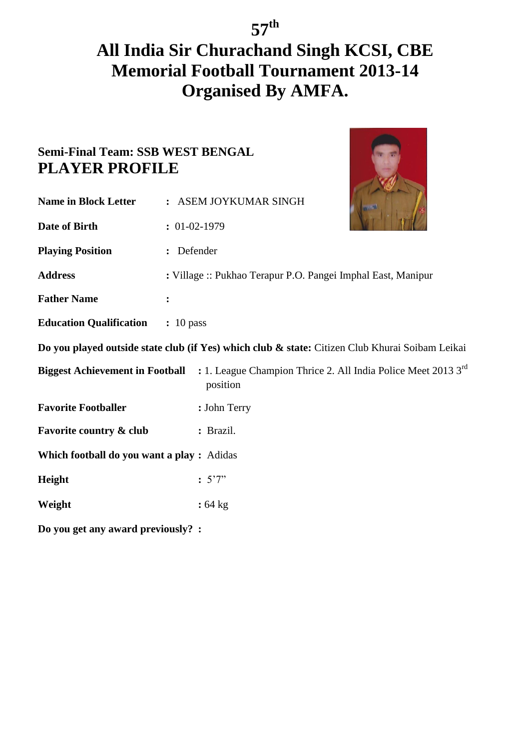# **All India Sir Churachand Singh KCSI, CBE Memorial Football Tournament 2013-14 Organised By AMFA.**

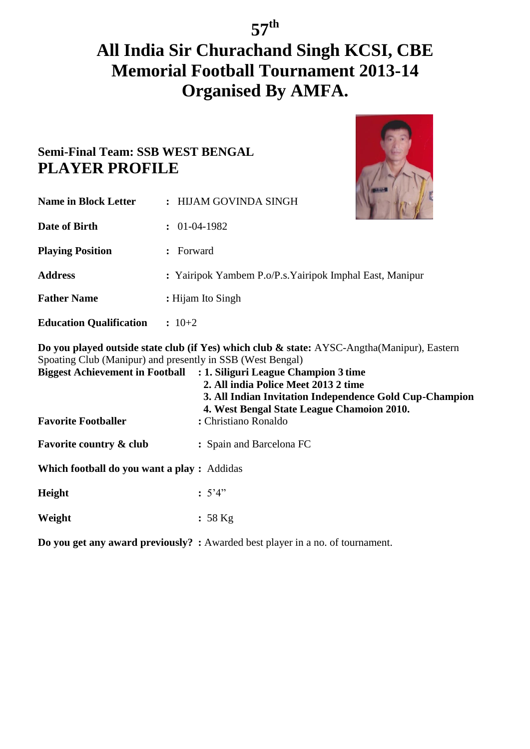## **All India Sir Churachand Singh KCSI, CBE Memorial Football Tournament 2013-14 Organised By AMFA.**

### **Semi-Final Team: SSB WEST BENGAL PLAYER PROFILE**



| <b>Name in Block Letter</b>                                                                                                                                                                                                                                                                                                                                                               | : HIJAM GOVINDA SINGH                                    |  |
|-------------------------------------------------------------------------------------------------------------------------------------------------------------------------------------------------------------------------------------------------------------------------------------------------------------------------------------------------------------------------------------------|----------------------------------------------------------|--|
| Date of Birth                                                                                                                                                                                                                                                                                                                                                                             | $: 01-04-1982$                                           |  |
| <b>Playing Position</b>                                                                                                                                                                                                                                                                                                                                                                   | : Forward                                                |  |
| <b>Address</b>                                                                                                                                                                                                                                                                                                                                                                            | : Yairipok Yambem P.o/P.s. Yairipok Imphal East, Manipur |  |
| <b>Father Name</b>                                                                                                                                                                                                                                                                                                                                                                        | : Hijam Ito Singh                                        |  |
| <b>Education Qualification</b>                                                                                                                                                                                                                                                                                                                                                            | $: 10+2$                                                 |  |
| Do you played outside state club (if Yes) which club & state: AYSC-Angtha(Manipur), Eastern<br>Spoating Club (Manipur) and presently in SSB (West Bengal)<br><b>Biggest Achievement in Football : 1. Siliguri League Champion 3 time</b><br>2. All india Police Meet 2013 2 time<br>3. All Indian Invitation Independence Gold Cup-Champion<br>4. West Bengal State League Chamoion 2010. |                                                          |  |
| <b>Favorite Footballer</b>                                                                                                                                                                                                                                                                                                                                                                | : Christiano Ronaldo                                     |  |
| <b>Favorite country &amp; club</b>                                                                                                                                                                                                                                                                                                                                                        | : Spain and Barcelona FC                                 |  |

**Which football do you want a play :** Addidas

**Weight :** 58 Kg

**Do you get any award previously? :** Awarded best player in a no. of tournament.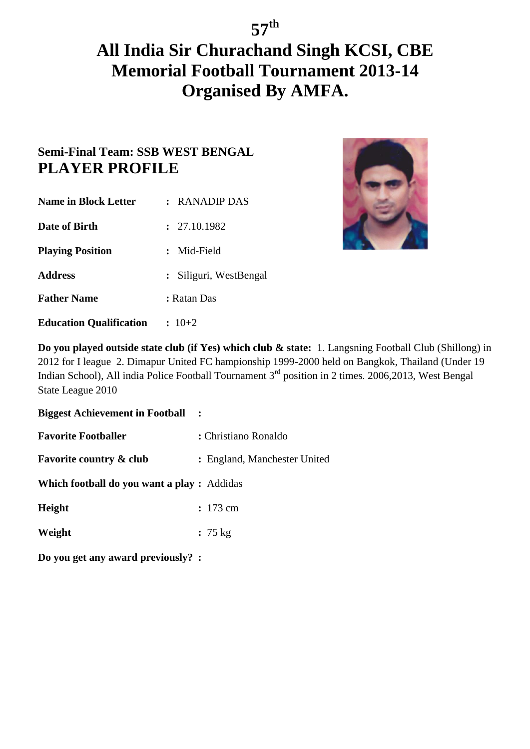### **Semi-Final Team: SSB WEST BENGAL PLAYER PROFILE**

| <b>Name in Block Letter</b>    | $:$ RANADIP DAS        |
|--------------------------------|------------------------|
| Date of Birth                  | : 27.10.1982           |
| <b>Playing Position</b>        | : Mid-Field            |
| <b>Address</b>                 | : Siliguri, WestBengal |
| <b>Father Name</b>             | : Ratan Das            |
| <b>Education Qualification</b> | $: 10+2$               |



**Do you played outside state club (if Yes) which club & state:** 1. Langsning Football Club (Shillong) in 2012 for I league 2. Dimapur United FC hampionship 1999-2000 held on Bangkok, Thailand (Under 19 Indian School), All india Police Football Tournament 3<sup>rd</sup> position in 2 times. 2006,2013, West Bengal State League 2010

**Biggest Achievement in Football :** 

**Favorite Footballer : Christiano Ronaldo** 

**Favorite country & club :** England, Manchester United

**Which football do you want a play :** Addidas

**Height :** 173 cm

**Weight :** 75 kg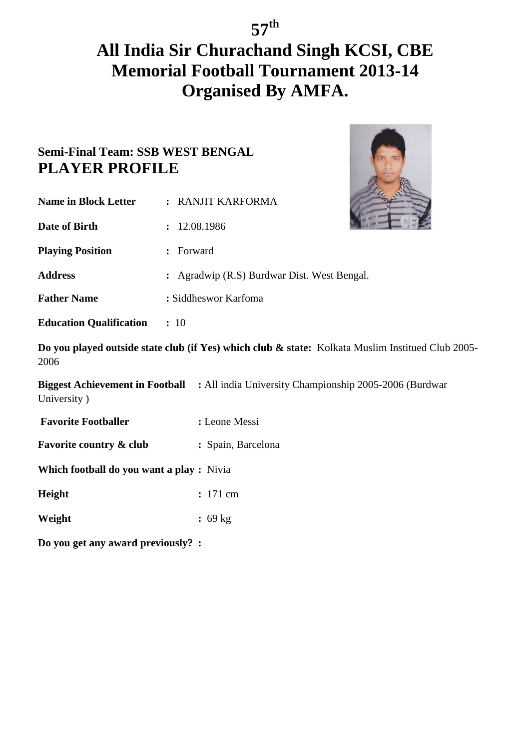# **All India Sir Churachand Singh KCSI, CBE Memorial Football Tournament 2013-14 Organised By AMFA.**

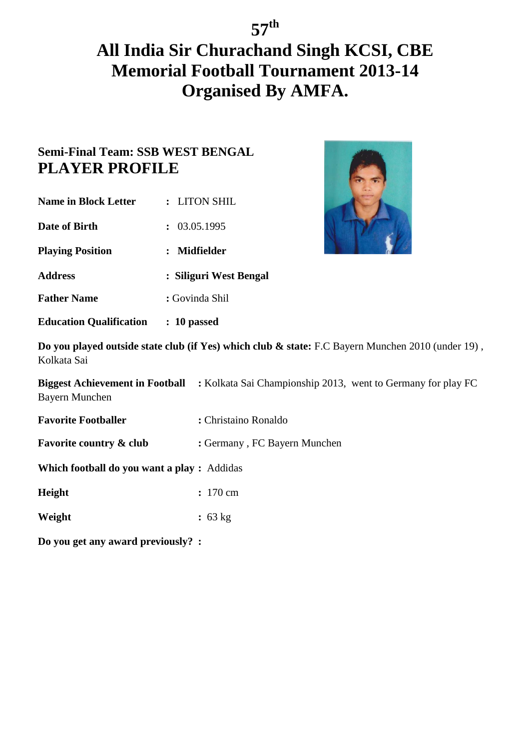### **Semi-Final Team: SSB WEST BENGAL PLAYER PROFILE**

| <b>Name in Block Letter</b> | : LITON SHIL           |
|-----------------------------|------------------------|
| Date of Birth               | : 03.05.1995           |
| <b>Playing Position</b>     | : Midfielder           |
| <b>Address</b>              | : Siliguri West Bengal |
| <b>Father Name</b>          | : Govinda Shil         |
|                             |                        |

**Education Qualification : 10 passed**



**Do you played outside state club (if Yes) which club & state:** F.C Bayern Munchen 2010 (under 19) , Kolkata Sai

**Biggest Achievement in Football :** Kolkata Sai Championship 2013, went to Germany for play FC Bayern Munchen

**Favorite Footballer** : Christaino Ronaldo

**Favorite country & club :** Germany, FC Bayern Munchen

**Which football do you want a play :** Addidas

**Height :** 170 cm

**Weight :** 63 kg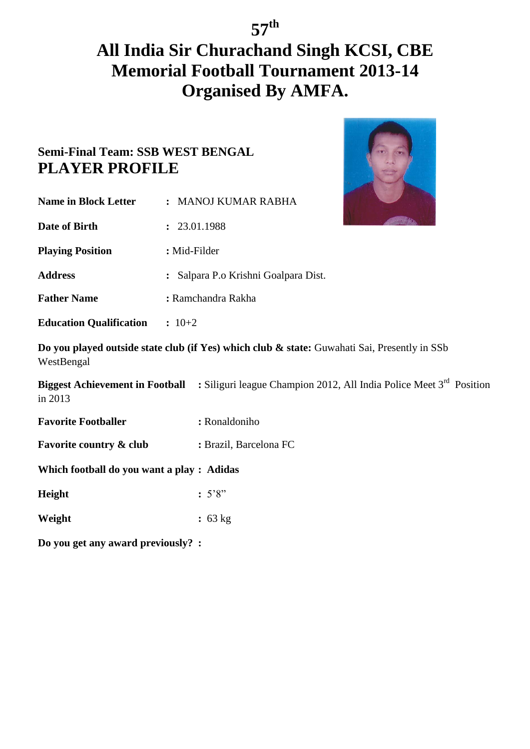# **All India Sir Churachand Singh KCSI, CBE Memorial Football Tournament 2013-14 Organised By AMFA.**



| <b>Name in Block Letter</b>               | : MANOJ KUMAR RABHA                                                                                                    |
|-------------------------------------------|------------------------------------------------------------------------------------------------------------------------|
| Date of Birth                             | : 23.01.1988                                                                                                           |
| <b>Playing Position</b>                   | : Mid-Filder                                                                                                           |
| <b>Address</b>                            | : Salpara P.o Krishni Goalpara Dist.                                                                                   |
| <b>Father Name</b>                        | : Ramchandra Rakha                                                                                                     |
| <b>Education Qualification : 10+2</b>     |                                                                                                                        |
| WestBengal                                | Do you played outside state club (if Yes) which club & state: Guwahati Sai, Presently in SSb                           |
| in 2013                                   | <b>Biggest Achievement in Football :</b> Siliguri league Champion 2012, All India Police Meet 3 <sup>rd</sup> Position |
| <b>Favorite Footballer</b>                | : Ronaldoniho                                                                                                          |
| <b>Favorite country &amp; club</b>        | : Brazil, Barcelona FC                                                                                                 |
| Which football do you want a play: Adidas |                                                                                                                        |
| Height                                    | :5'8"                                                                                                                  |
| Weight                                    | : 63 kg                                                                                                                |
| Do you get any award previously? :        |                                                                                                                        |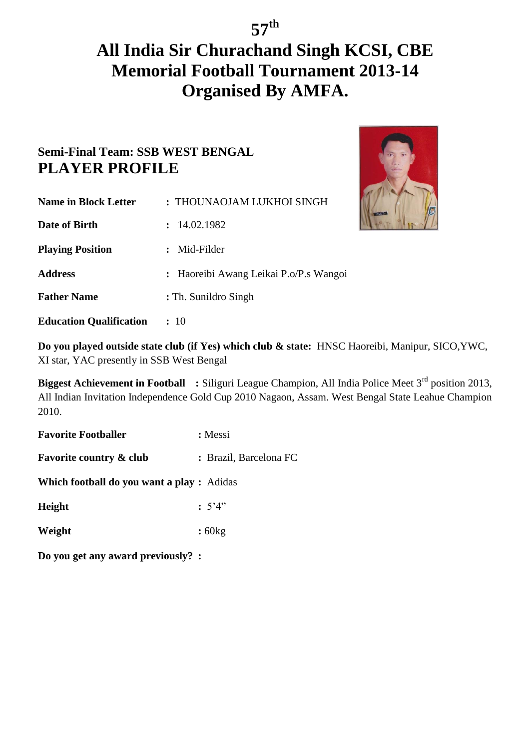# **All India Sir Churachand Singh KCSI, CBE Memorial Football Tournament 2013-14 Organised By AMFA.**

### **Semi-Final Team: SSB WEST BENGAL PLAYER PROFILE**



**Education Qualification :** 10

**Do you played outside state club (if Yes) which club & state:** HNSC Haoreibi, Manipur, SICO,YWC, XI star, YAC presently in SSB West Bengal

**Biggest Achievement in Football : Siliguri League Champion, All India Police Meet 3<sup>rd</sup> position 2013,** All Indian Invitation Independence Gold Cup 2010 Nagaon, Assam. West Bengal State Leahue Champion 2010.

**Favorite Footballer :** Messi

**Favorite country & club :** Brazil, Barcelona FC

**Which football do you want a play :** Adidas

**Height :**  $5'4"$ 

**Weight :** 60kg

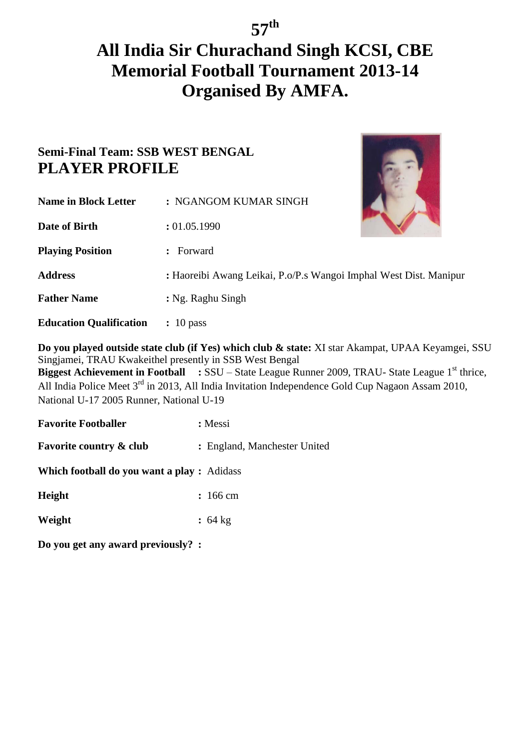## **All India Sir Churachand Singh KCSI, CBE Memorial Football Tournament 2013-14 Organised By AMFA.**

### **Semi-Final Team: SSB WEST BENGAL PLAYER PROFILE**



| <b>Name in Block Letter</b> | : NGANGOM KUMAR SINGH                                             |  |
|-----------------------------|-------------------------------------------------------------------|--|
| Date of Birth               | : 01.05.1990                                                      |  |
| <b>Playing Position</b>     | Forward<br>$\mathbf{r}$                                           |  |
| <b>Address</b>              | : Haoreibi Awang Leikai, P.o/P.s Wangoi Imphal West Dist. Manipur |  |
| <b>Father Name</b>          | : Ng. Raghu Singh                                                 |  |
|                             |                                                                   |  |

**Education Qualification :** 10 pass

**Do you played outside state club (if Yes) which club & state:** XI star Akampat, UPAA Keyamgei, SSU Singjamei, TRAU Kwakeithel presently in SSB West Bengal **Biggest Achievement in Football : SSU – State League Runner 2009, TRAU- State League 1<sup>st</sup> thrice,** All India Police Meet 3rd in 2013, All India Invitation Independence Gold Cup Nagaon Assam 2010, National U-17 2005 Runner, National U-19

**Favorite Footballer :** Messi **Favorite country & club :** England, Manchester United

**Which football do you want a play :** Adidass

**Height :** 166 cm

**Weight :** 64 kg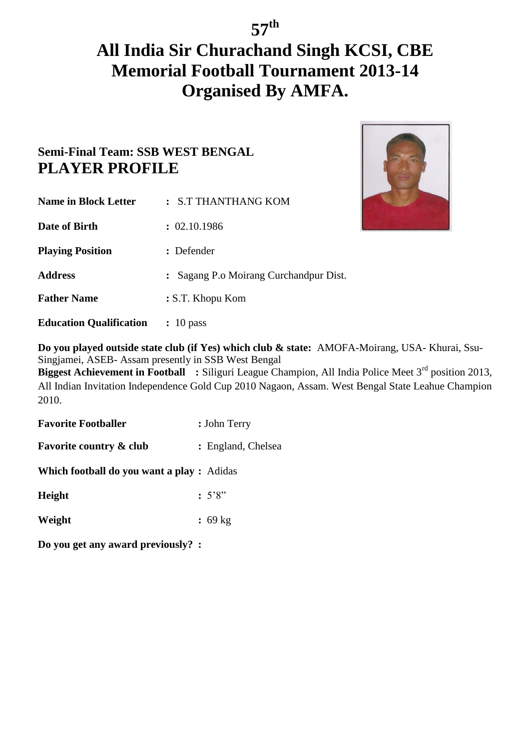# **All India Sir Churachand Singh KCSI, CBE Memorial Football Tournament 2013-14 Organised By AMFA.**

### **Semi-Final Team: SSB WEST BENGAL PLAYER PROFILE**



**Do you played outside state club (if Yes) which club & state:** AMOFA-Moirang, USA- Khurai, Ssu-Singjamei, ASEB- Assam presently in SSB West Bengal **Biggest Achievement in Football : Siliguri League Champion, All India Police Meet 3<sup>rd</sup> position 2013,** 

All Indian Invitation Independence Gold Cup 2010 Nagaon, Assam. West Bengal State Leahue Champion 2010.

**Favorite Footballer** : John Terry

**Favorite country & club**  $\qquad$  **:** England, Chelsea

**Which football do you want a play :** Adidas

**Height :** 5'8"

**Weight :** 69 kg